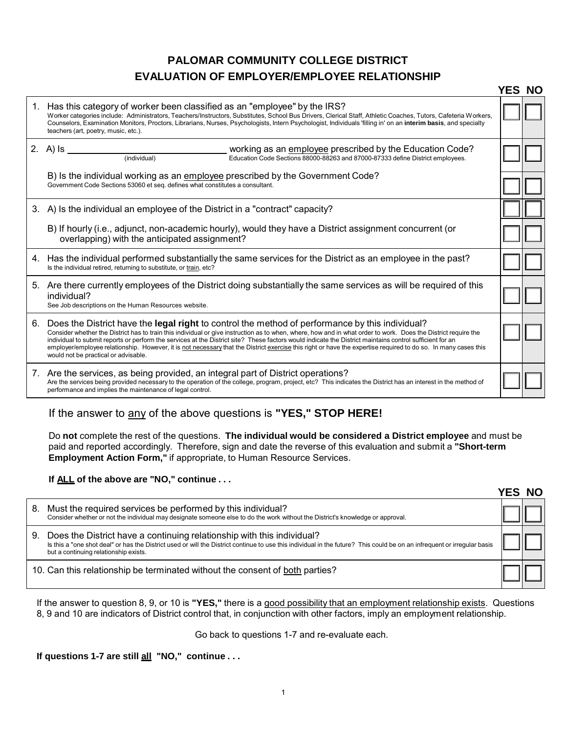## **PALOMAR COMMUNITY COLLEGE DISTRICT EVALUATION OF EMPLOYER/EMPLOYEE RELATIONSHIP**

|    |                                                                                                                                                                                                                                                                                                                                                                                                                                                                                                                                                                                                                                            | YES NO |  |
|----|--------------------------------------------------------------------------------------------------------------------------------------------------------------------------------------------------------------------------------------------------------------------------------------------------------------------------------------------------------------------------------------------------------------------------------------------------------------------------------------------------------------------------------------------------------------------------------------------------------------------------------------------|--------|--|
| 1. | Has this category of worker been classified as an "employee" by the IRS?<br>Worker categories include: Administrators, Teachers/Instructors, Substitutes, School Bus Drivers, Clerical Staff, Athletic Coaches, Tutors, Cafeteria Workers,<br>Counselors, Examination Monitors, Proctors, Librarians, Nurses, Psychologists, Intern Psychologist, Individuals 'filling in' on an interim basis, and specialty<br>teachers (art, poetry, music, etc.).                                                                                                                                                                                      |        |  |
|    | 2. A) $\mathsf{ls}$<br>working as an employee prescribed by the Education Code?<br>(individual)<br>Education Code Sections 88000-88263 and 87000-87333 define District employees.                                                                                                                                                                                                                                                                                                                                                                                                                                                          |        |  |
|    | B) Is the individual working as an employee prescribed by the Government Code?<br>Government Code Sections 53060 et seg. defines what constitutes a consultant.                                                                                                                                                                                                                                                                                                                                                                                                                                                                            |        |  |
|    | 3. A) Is the individual an employee of the District in a "contract" capacity?                                                                                                                                                                                                                                                                                                                                                                                                                                                                                                                                                              |        |  |
|    | B) If hourly (i.e., adjunct, non-academic hourly), would they have a District assignment concurrent (or<br>overlapping) with the anticipated assignment?                                                                                                                                                                                                                                                                                                                                                                                                                                                                                   |        |  |
|    | 4. Has the individual performed substantially the same services for the District as an employee in the past?<br>Is the individual retired, returning to substitute, or train, etc?                                                                                                                                                                                                                                                                                                                                                                                                                                                         |        |  |
|    | 5. Are there currently employees of the District doing substantially the same services as will be required of this<br>individual?<br>See Job descriptions on the Human Resources website.                                                                                                                                                                                                                                                                                                                                                                                                                                                  |        |  |
|    | 6. Does the District have the legal right to control the method of performance by this individual?<br>Consider whether the District has to train this individual or give instruction as to when, where, how and in what order to work. Does the District require the<br>individual to submit reports or perform the services at the District site? These factors would indicate the District maintains control sufficient for an<br>employer/employee relationship. However, it is not necessary that the District exercise this right or have the expertise required to do so. In many cases this<br>would not be practical or advisable. |        |  |
|    | 7. Are the services, as being provided, an integral part of District operations?<br>Are the services being provided necessary to the operation of the college, program, project, etc? This indicates the District has an interest in the method of<br>performance and implies the maintenance of legal control.                                                                                                                                                                                                                                                                                                                            |        |  |

## If the answer to any of the above questions is **"YES," STOP HERE!**

Do **not** complete the rest of the questions. **The individual would be considered a District employee** and must be paid and reported accordingly. Therefore, sign and date the reverse of this evaluation and submit a **"Short-term Employment Action Form,"** if appropriate, to Human Resource Services.

**If ALL of the above are "NO," continue . . .**

|    |                                                                                                                                                                                                                                                                                             | -NO |  |
|----|---------------------------------------------------------------------------------------------------------------------------------------------------------------------------------------------------------------------------------------------------------------------------------------------|-----|--|
| 8. | Must the required services be performed by this individual?<br>Consider whether or not the individual may designate someone else to do the work without the District's knowledge or approval.                                                                                               |     |  |
| 9. | Does the District have a continuing relationship with this individual?<br>Is this a "one shot deal" or has the District used or will the District continue to use this individual in the future? This could be on an infrequent or irregular basis<br>but a continuing relationship exists. |     |  |
|    | 10. Can this relationship be terminated without the consent of both parties?                                                                                                                                                                                                                |     |  |

If the answer to question 8, 9, or 10 is **"YES,"** there is a good possibility that an employment relationship exists. Questions 8, 9 and 10 are indicators of District control that, in conjunction with other factors, imply an employment relationship.

Go back to questions 1-7 and re-evaluate each.

**If questions 1-7 are still all "NO," continue . . .**